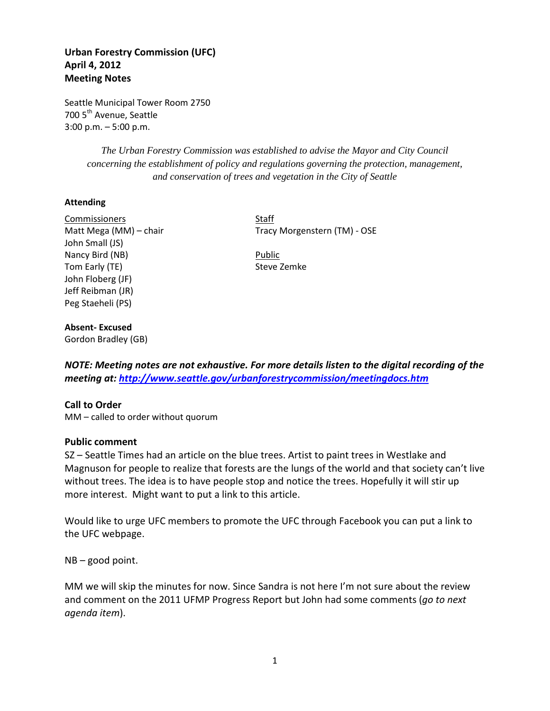# **Urban Forestry Commission (UFC) April 4, 2012 Meeting Notes**

Seattle Municipal Tower Room 2750 700 5<sup>th</sup> Avenue, Seattle 3:00 p.m. – 5:00 p.m.

> *The Urban Forestry Commission was established to advise the Mayor and City Council concerning the establishment of policy and regulations governing the protection, management, and conservation of trees and vegetation in the City of Seattle*

### **Attending**

Commissioners Staff John Small (JS) Nancy Bird (NB) Public Tom Early (TE) Steve Zemke John Floberg (JF) Jeff Reibman (JR) Peg Staeheli (PS)

Matt Mega (MM) – chair Tracy Morgenstern (TM) - OSE

# **Absent- Excused**

Gordon Bradley (GB)

*NOTE: Meeting notes are not exhaustive. For more details listen to the digital recording of the meeting at:<http://www.seattle.gov/urbanforestrycommission/meetingdocs.htm>*

### **Call to Order**

MM – called to order without quorum

#### **Public comment**

SZ – Seattle Times had an article on the blue trees. Artist to paint trees in Westlake and Magnuson for people to realize that forests are the lungs of the world and that society can't live without trees. The idea is to have people stop and notice the trees. Hopefully it will stir up more interest. Might want to put a link to this article.

Would like to urge UFC members to promote the UFC through Facebook you can put a link to the UFC webpage.

NB – good point.

MM we will skip the minutes for now. Since Sandra is not here I'm not sure about the review and comment on the 2011 UFMP Progress Report but John had some comments (*go to next agenda item*).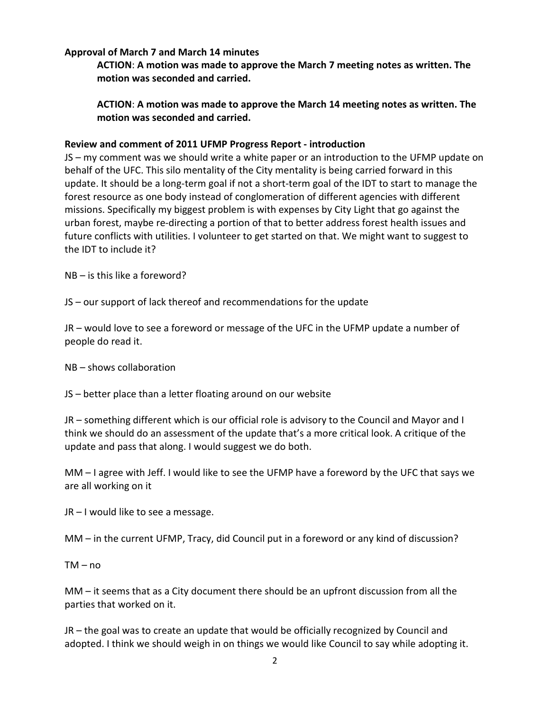### **Approval of March 7 and March 14 minutes**

**ACTION**: **A motion was made to approve the March 7 meeting notes as written. The motion was seconded and carried.** 

**ACTION**: **A motion was made to approve the March 14 meeting notes as written. The motion was seconded and carried.** 

### **Review and comment of 2011 UFMP Progress Report - introduction**

JS – my comment was we should write a white paper or an introduction to the UFMP update on behalf of the UFC. This silo mentality of the City mentality is being carried forward in this update. It should be a long-term goal if not a short-term goal of the IDT to start to manage the forest resource as one body instead of conglomeration of different agencies with different missions. Specifically my biggest problem is with expenses by City Light that go against the urban forest, maybe re-directing a portion of that to better address forest health issues and future conflicts with utilities. I volunteer to get started on that. We might want to suggest to the IDT to include it?

NB – is this like a foreword?

JS – our support of lack thereof and recommendations for the update

JR – would love to see a foreword or message of the UFC in the UFMP update a number of people do read it.

NB – shows collaboration

JS – better place than a letter floating around on our website

JR – something different which is our official role is advisory to the Council and Mayor and I think we should do an assessment of the update that's a more critical look. A critique of the update and pass that along. I would suggest we do both.

MM – I agree with Jeff. I would like to see the UFMP have a foreword by the UFC that says we are all working on it

JR – I would like to see a message.

MM – in the current UFMP, Tracy, did Council put in a foreword or any kind of discussion?

 $TM - n0$ 

MM – it seems that as a City document there should be an upfront discussion from all the parties that worked on it.

JR – the goal was to create an update that would be officially recognized by Council and adopted. I think we should weigh in on things we would like Council to say while adopting it.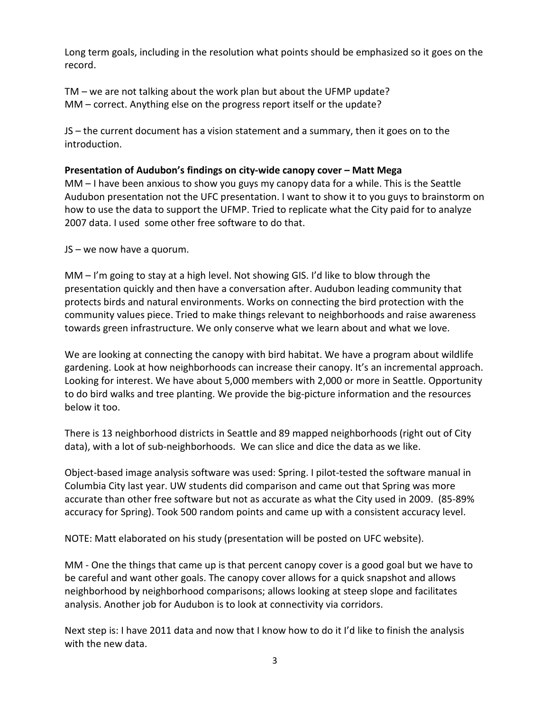Long term goals, including in the resolution what points should be emphasized so it goes on the record.

TM – we are not talking about the work plan but about the UFMP update? MM – correct. Anything else on the progress report itself or the update?

JS – the current document has a vision statement and a summary, then it goes on to the introduction.

# **Presentation of Audubon's findings on city-wide canopy cover – Matt Mega**

MM – I have been anxious to show you guys my canopy data for a while. This is the Seattle Audubon presentation not the UFC presentation. I want to show it to you guys to brainstorm on how to use the data to support the UFMP. Tried to replicate what the City paid for to analyze 2007 data. I used some other free software to do that.

JS – we now have a quorum.

MM – I'm going to stay at a high level. Not showing GIS. I'd like to blow through the presentation quickly and then have a conversation after. Audubon leading community that protects birds and natural environments. Works on connecting the bird protection with the community values piece. Tried to make things relevant to neighborhoods and raise awareness towards green infrastructure. We only conserve what we learn about and what we love.

We are looking at connecting the canopy with bird habitat. We have a program about wildlife gardening. Look at how neighborhoods can increase their canopy. It's an incremental approach. Looking for interest. We have about 5,000 members with 2,000 or more in Seattle. Opportunity to do bird walks and tree planting. We provide the big-picture information and the resources below it too.

There is 13 neighborhood districts in Seattle and 89 mapped neighborhoods (right out of City data), with a lot of sub-neighborhoods. We can slice and dice the data as we like.

Object-based image analysis software was used: Spring. I pilot-tested the software manual in Columbia City last year. UW students did comparison and came out that Spring was more accurate than other free software but not as accurate as what the City used in 2009. (85-89% accuracy for Spring). Took 500 random points and came up with a consistent accuracy level.

NOTE: Matt elaborated on his study (presentation will be posted on UFC website).

MM - One the things that came up is that percent canopy cover is a good goal but we have to be careful and want other goals. The canopy cover allows for a quick snapshot and allows neighborhood by neighborhood comparisons; allows looking at steep slope and facilitates analysis. Another job for Audubon is to look at connectivity via corridors.

Next step is: I have 2011 data and now that I know how to do it I'd like to finish the analysis with the new data.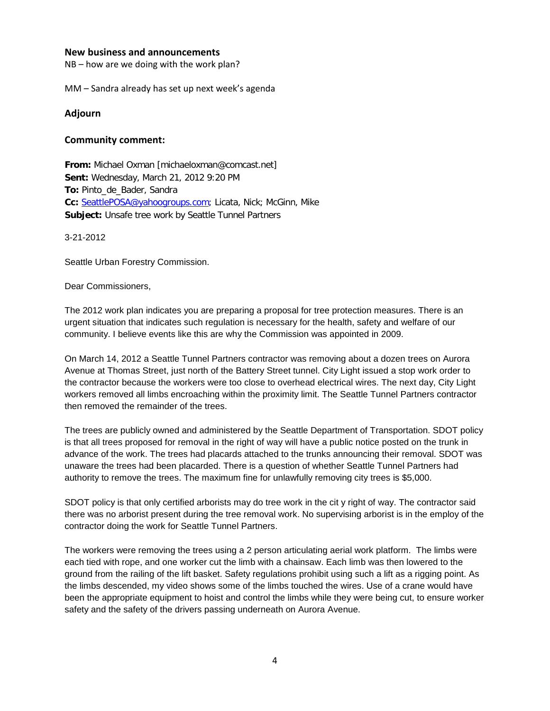#### **New business and announcements**

NB – how are we doing with the work plan?

MM – Sandra already has set up next week's agenda

#### **Adjourn**

#### **Community comment:**

**From:** Michael Oxman [michaeloxman@comcast.net] **Sent:** Wednesday, March 21, 2012 9:20 PM **To:** Pinto\_de\_Bader, Sandra Cc: [SeattlePOSA@yahoogroups.com;](mailto:SeattlePOSA@yahoogroups.com) Licata, Nick; McGinn, Mike **Subject:** Unsafe tree work by Seattle Tunnel Partners

3-21-2012

Seattle Urban Forestry Commission.

Dear Commissioners,

The 2012 work plan indicates you are preparing a proposal for tree protection measures. There is an urgent situation that indicates such regulation is necessary for the health, safety and welfare of our community. I believe events like this are why the Commission was appointed in 2009.

On March 14, 2012 a Seattle Tunnel Partners contractor was removing about a dozen trees on Aurora Avenue at Thomas Street, just north of the Battery Street tunnel. City Light issued a stop work order to the contractor because the workers were too close to overhead electrical wires. The next day, City Light workers removed all limbs encroaching within the proximity limit. The Seattle Tunnel Partners contractor then removed the remainder of the trees.

The trees are publicly owned and administered by the Seattle Department of Transportation. SDOT policy is that all trees proposed for removal in the right of way will have a public notice posted on the trunk in advance of the work. The trees had placards attached to the trunks announcing their removal. SDOT was unaware the trees had been placarded. There is a question of whether Seattle Tunnel Partners had authority to remove the trees. The maximum fine for unlawfully removing city trees is \$5,000.

SDOT policy is that only certified arborists may do tree work in the cit y right of way. The contractor said there was no arborist present during the tree removal work. No supervising arborist is in the employ of the contractor doing the work for Seattle Tunnel Partners.

The workers were removing the trees using a 2 person articulating aerial work platform. The limbs were each tied with rope, and one worker cut the limb with a chainsaw. Each limb was then lowered to the ground from the railing of the lift basket. Safety regulations prohibit using such a lift as a rigging point. As the limbs descended, my video shows some of the limbs touched the wires. Use of a crane would have been the appropriate equipment to hoist and control the limbs while they were being cut, to ensure worker safety and the safety of the drivers passing underneath on Aurora Avenue.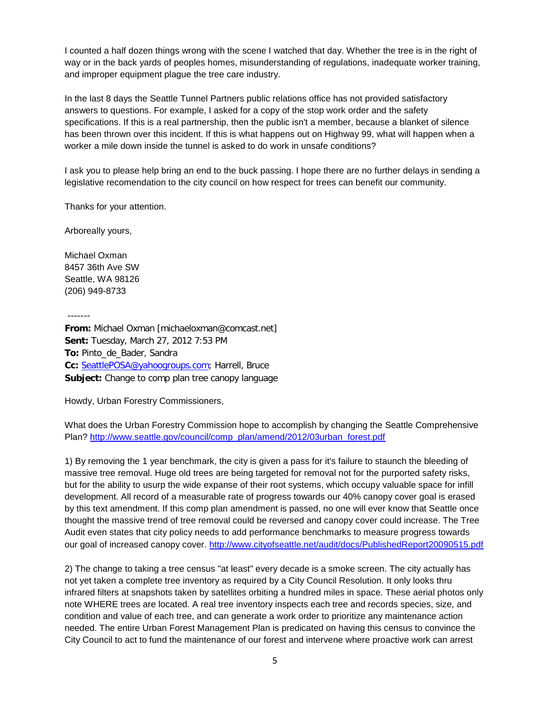I counted a half dozen things wrong with the scene I watched that day. Whether the tree is in the right of way or in the back yards of peoples homes, misunderstanding of regulations, inadequate worker training, and improper equipment plague the tree care industry.

In the last 8 days the Seattle Tunnel Partners public relations office has not provided satisfactory answers to questions. For example, I asked for a copy of the stop work order and the safety specifications. If this is a real partnership, then the public isn't a member, because a blanket of silence has been thrown over this incident. If this is what happens out on Highway 99, what will happen when a worker a mile down inside the tunnel is asked to do work in unsafe conditions?

I ask you to please help bring an end to the buck passing. I hope there are no further delays in sending a legislative recomendation to the city council on how respect for trees can benefit our community.

Thanks for your attention.

Arboreally yours,

Michael Oxman 8457 36th Ave SW Seattle, WA 98126 (206) 949-8733

-------

**From:** Michael Oxman [michaeloxman@comcast.net] **Sent:** Tuesday, March 27, 2012 7:53 PM **To:** Pinto\_de\_Bader, Sandra Cc: [SeattlePOSA@yahoogroups.com;](mailto:SeattlePOSA@yahoogroups.com) Harrell, Bruce **Subject:** Change to comp plan tree canopy language

Howdy, Urban Forestry Commissioners,

What does the Urban Forestry Commission hope to accomplish by changing the Seattle Comprehensive Plan? [http://www.seattle.gov/council/comp\\_plan/amend/2012/03urban\\_forest.pdf](http://www.seattle.gov/council/comp_plan/amend/2012/03urban_forest.pdf)

1) By removing the 1 year benchmark, the city is given a pass for it's failure to staunch the bleeding of massive tree removal. Huge old trees are being targeted for removal not for the purported safety risks, but for the ability to usurp the wide expanse of their root systems, which occupy valuable space for infill development. All record of a measurable rate of progress towards our 40% canopy cover goal is erased by this text amendment. If this comp plan amendment is passed, no one will ever know that Seattle once thought the massive trend of tree removal could be reversed and canopy cover could increase. The Tree Audit even states that city policy needs to add performance benchmarks to measure progress towards our goal of increased canopy cover.<http://www.cityofseattle.net/audit/docs/PublishedReport20090515.pdf>

2) The change to taking a tree census "at least" every decade is a smoke screen. The city actually has not yet taken a complete tree inventory as required by a City Council Resolution. It only looks thru infrared filters at snapshots taken by satellites orbiting a hundred miles in space. These aerial photos only note WHERE trees are located. A real tree inventory inspects each tree and records species, size, and condition and value of each tree, and can generate a work order to prioritize any maintenance action needed. The entire Urban Forest Management Plan is predicated on having this census to convince the City Council to act to fund the maintenance of our forest and intervene where proactive work can arrest